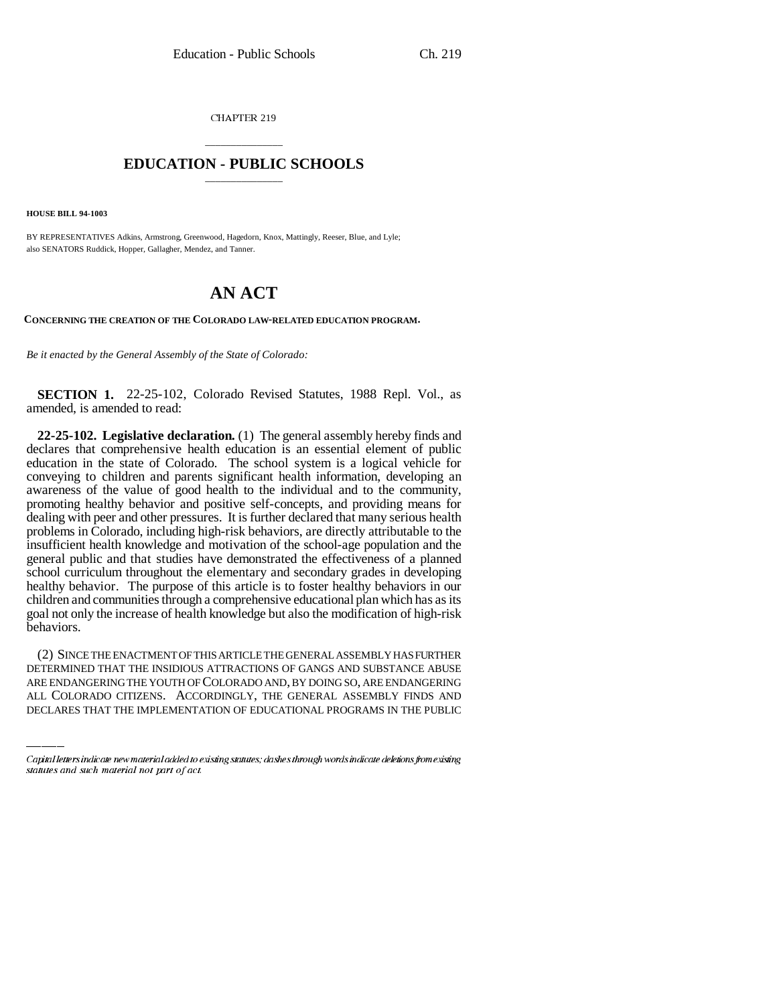CHAPTER 219

## \_\_\_\_\_\_\_\_\_\_\_\_\_\_\_ **EDUCATION - PUBLIC SCHOOLS** \_\_\_\_\_\_\_\_\_\_\_\_\_\_\_

**HOUSE BILL 94-1003**

BY REPRESENTATIVES Adkins, Armstrong, Greenwood, Hagedorn, Knox, Mattingly, Reeser, Blue, and Lyle; also SENATORS Ruddick, Hopper, Gallagher, Mendez, and Tanner.

## **AN ACT**

**CONCERNING THE CREATION OF THE COLORADO LAW-RELATED EDUCATION PROGRAM.**

*Be it enacted by the General Assembly of the State of Colorado:*

**SECTION 1.** 22-25-102, Colorado Revised Statutes, 1988 Repl. Vol., as amended, is amended to read:

**22-25-102. Legislative declaration.** (1) The general assembly hereby finds and declares that comprehensive health education is an essential element of public education in the state of Colorado. The school system is a logical vehicle for conveying to children and parents significant health information, developing an awareness of the value of good health to the individual and to the community, promoting healthy behavior and positive self-concepts, and providing means for dealing with peer and other pressures. It is further declared that many serious health problems in Colorado, including high-risk behaviors, are directly attributable to the insufficient health knowledge and motivation of the school-age population and the general public and that studies have demonstrated the effectiveness of a planned school curriculum throughout the elementary and secondary grades in developing healthy behavior. The purpose of this article is to foster healthy behaviors in our children and communities through a comprehensive educational plan which has as its goal not only the increase of health knowledge but also the modification of high-risk behaviors.

(2) SINCE THE ENACTMENT OF THIS ARTICLE THE GENERAL ASSEMBLY HAS FURTHER DETERMINED THAT THE INSIDIOUS ATTRACTIONS OF GANGS AND SUBSTANCE ABUSE ARE ENDANGERING THE YOUTH OF COLORADO AND, BY DOING SO, ARE ENDANGERING ALL COLORADO CITIZENS. ACCORDINGLY, THE GENERAL ASSEMBLY FINDS AND DECLARES THAT THE IMPLEMENTATION OF EDUCATIONAL PROGRAMS IN THE PUBLIC

Capital letters indicate new material added to existing statutes; dashes through words indicate deletions from existing statutes and such material not part of act.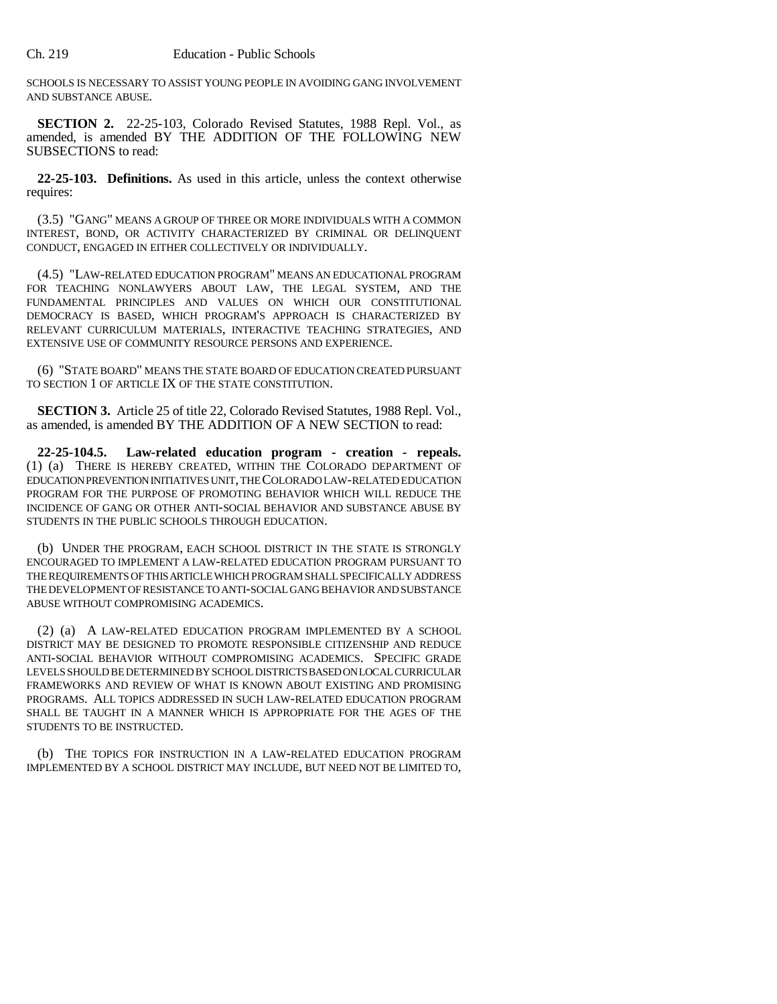SCHOOLS IS NECESSARY TO ASSIST YOUNG PEOPLE IN AVOIDING GANG INVOLVEMENT AND SUBSTANCE ABUSE.

**SECTION 2.** 22-25-103, Colorado Revised Statutes, 1988 Repl. Vol., as amended, is amended BY THE ADDITION OF THE FOLLOWING NEW SUBSECTIONS to read:

**22-25-103. Definitions.** As used in this article, unless the context otherwise requires:

(3.5) "GANG" MEANS A GROUP OF THREE OR MORE INDIVIDUALS WITH A COMMON INTEREST, BOND, OR ACTIVITY CHARACTERIZED BY CRIMINAL OR DELINQUENT CONDUCT, ENGAGED IN EITHER COLLECTIVELY OR INDIVIDUALLY.

(4.5) "LAW-RELATED EDUCATION PROGRAM" MEANS AN EDUCATIONAL PROGRAM FOR TEACHING NONLAWYERS ABOUT LAW, THE LEGAL SYSTEM, AND THE FUNDAMENTAL PRINCIPLES AND VALUES ON WHICH OUR CONSTITUTIONAL DEMOCRACY IS BASED, WHICH PROGRAM'S APPROACH IS CHARACTERIZED BY RELEVANT CURRICULUM MATERIALS, INTERACTIVE TEACHING STRATEGIES, AND EXTENSIVE USE OF COMMUNITY RESOURCE PERSONS AND EXPERIENCE.

(6) "STATE BOARD" MEANS THE STATE BOARD OF EDUCATION CREATED PURSUANT TO SECTION 1 OF ARTICLE IX OF THE STATE CONSTITUTION.

**SECTION 3.** Article 25 of title 22, Colorado Revised Statutes, 1988 Repl. Vol., as amended, is amended BY THE ADDITION OF A NEW SECTION to read:

**22-25-104.5. Law-related education program - creation - repeals.** (1) (a) THERE IS HEREBY CREATED, WITHIN THE COLORADO DEPARTMENT OF EDUCATION PREVENTION INITIATIVES UNIT, THE COLORADO LAW-RELATED EDUCATION PROGRAM FOR THE PURPOSE OF PROMOTING BEHAVIOR WHICH WILL REDUCE THE INCIDENCE OF GANG OR OTHER ANTI-SOCIAL BEHAVIOR AND SUBSTANCE ABUSE BY STUDENTS IN THE PUBLIC SCHOOLS THROUGH EDUCATION.

(b) UNDER THE PROGRAM, EACH SCHOOL DISTRICT IN THE STATE IS STRONGLY ENCOURAGED TO IMPLEMENT A LAW-RELATED EDUCATION PROGRAM PURSUANT TO THE REQUIREMENTS OF THIS ARTICLE WHICH PROGRAM SHALL SPECIFICALLY ADDRESS THE DEVELOPMENT OF RESISTANCE TO ANTI-SOCIAL GANG BEHAVIOR AND SUBSTANCE ABUSE WITHOUT COMPROMISING ACADEMICS.

(2) (a) A LAW-RELATED EDUCATION PROGRAM IMPLEMENTED BY A SCHOOL DISTRICT MAY BE DESIGNED TO PROMOTE RESPONSIBLE CITIZENSHIP AND REDUCE ANTI-SOCIAL BEHAVIOR WITHOUT COMPROMISING ACADEMICS. SPECIFIC GRADE LEVELS SHOULD BE DETERMINED BY SCHOOL DISTRICTS BASED ON LOCAL CURRICULAR FRAMEWORKS AND REVIEW OF WHAT IS KNOWN ABOUT EXISTING AND PROMISING PROGRAMS. ALL TOPICS ADDRESSED IN SUCH LAW-RELATED EDUCATION PROGRAM SHALL BE TAUGHT IN A MANNER WHICH IS APPROPRIATE FOR THE AGES OF THE STUDENTS TO BE INSTRUCTED.

(b) THE TOPICS FOR INSTRUCTION IN A LAW-RELATED EDUCATION PROGRAM IMPLEMENTED BY A SCHOOL DISTRICT MAY INCLUDE, BUT NEED NOT BE LIMITED TO,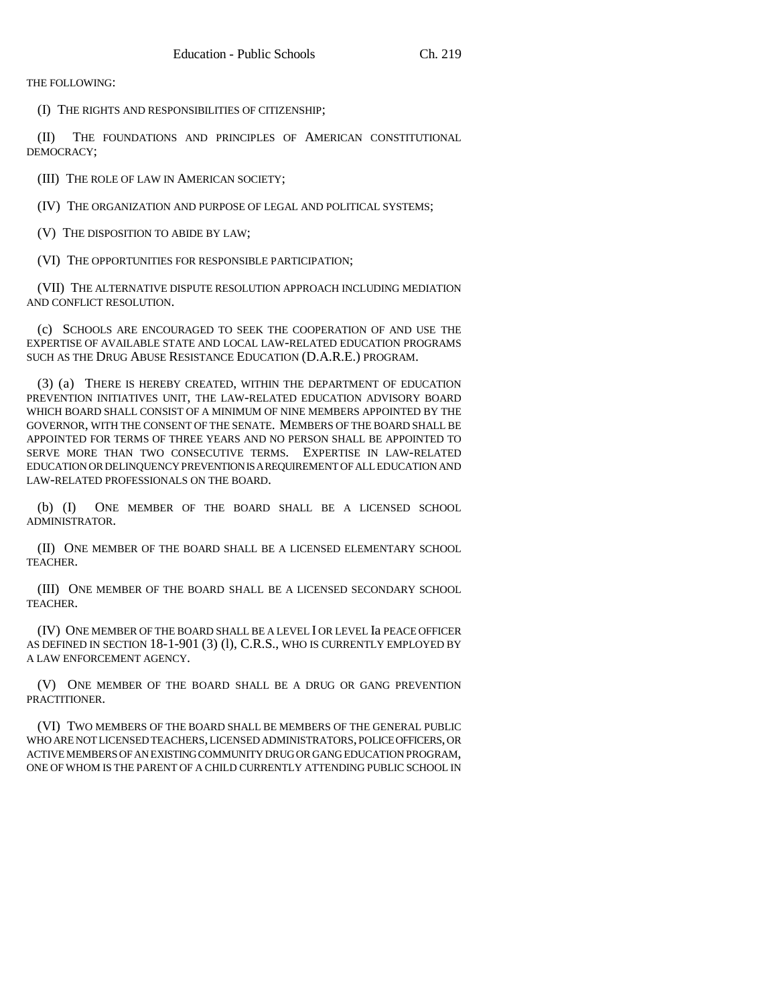THE FOLLOWING:

(I) THE RIGHTS AND RESPONSIBILITIES OF CITIZENSHIP;

(II) THE FOUNDATIONS AND PRINCIPLES OF AMERICAN CONSTITUTIONAL DEMOCRACY;

(III) THE ROLE OF LAW IN AMERICAN SOCIETY;

(IV) THE ORGANIZATION AND PURPOSE OF LEGAL AND POLITICAL SYSTEMS;

(V) THE DISPOSITION TO ABIDE BY LAW;

(VI) THE OPPORTUNITIES FOR RESPONSIBLE PARTICIPATION;

(VII) THE ALTERNATIVE DISPUTE RESOLUTION APPROACH INCLUDING MEDIATION AND CONFLICT RESOLUTION.

(c) SCHOOLS ARE ENCOURAGED TO SEEK THE COOPERATION OF AND USE THE EXPERTISE OF AVAILABLE STATE AND LOCAL LAW-RELATED EDUCATION PROGRAMS SUCH AS THE DRUG ABUSE RESISTANCE EDUCATION (D.A.R.E.) PROGRAM.

(3) (a) THERE IS HEREBY CREATED, WITHIN THE DEPARTMENT OF EDUCATION PREVENTION INITIATIVES UNIT, THE LAW-RELATED EDUCATION ADVISORY BOARD WHICH BOARD SHALL CONSIST OF A MINIMUM OF NINE MEMBERS APPOINTED BY THE GOVERNOR, WITH THE CONSENT OF THE SENATE. MEMBERS OF THE BOARD SHALL BE APPOINTED FOR TERMS OF THREE YEARS AND NO PERSON SHALL BE APPOINTED TO SERVE MORE THAN TWO CONSECUTIVE TERMS. EXPERTISE IN LAW-RELATED EDUCATION OR DELINQUENCY PREVENTION IS A REQUIREMENT OF ALL EDUCATION AND LAW-RELATED PROFESSIONALS ON THE BOARD.

(b) (I) ONE MEMBER OF THE BOARD SHALL BE A LICENSED SCHOOL ADMINISTRATOR.

(II) ONE MEMBER OF THE BOARD SHALL BE A LICENSED ELEMENTARY SCHOOL TEACHER.

(III) ONE MEMBER OF THE BOARD SHALL BE A LICENSED SECONDARY SCHOOL TEACHER.

(IV) ONE MEMBER OF THE BOARD SHALL BE A LEVEL I OR LEVEL Ia PEACE OFFICER AS DEFINED IN SECTION 18-1-901 (3) (1), C.R.S., WHO IS CURRENTLY EMPLOYED BY A LAW ENFORCEMENT AGENCY.

(V) ONE MEMBER OF THE BOARD SHALL BE A DRUG OR GANG PREVENTION PRACTITIONER.

(VI) TWO MEMBERS OF THE BOARD SHALL BE MEMBERS OF THE GENERAL PUBLIC WHO ARE NOT LICENSED TEACHERS, LICENSED ADMINISTRATORS, POLICE OFFICERS, OR ACTIVE MEMBERS OF AN EXISTING COMMUNITY DRUG OR GANG EDUCATION PROGRAM, ONE OF WHOM IS THE PARENT OF A CHILD CURRENTLY ATTENDING PUBLIC SCHOOL IN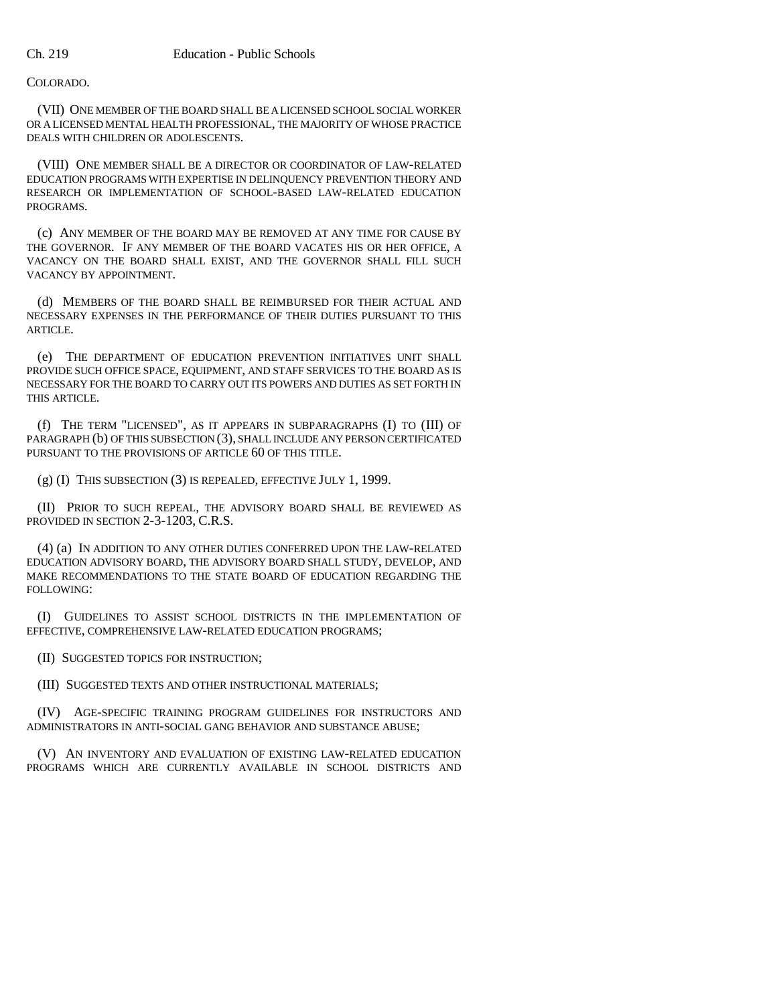## COLORADO.

(VII) ONE MEMBER OF THE BOARD SHALL BE A LICENSED SCHOOL SOCIAL WORKER OR A LICENSED MENTAL HEALTH PROFESSIONAL, THE MAJORITY OF WHOSE PRACTICE DEALS WITH CHILDREN OR ADOLESCENTS.

(VIII) ONE MEMBER SHALL BE A DIRECTOR OR COORDINATOR OF LAW-RELATED EDUCATION PROGRAMS WITH EXPERTISE IN DELINQUENCY PREVENTION THEORY AND RESEARCH OR IMPLEMENTATION OF SCHOOL-BASED LAW-RELATED EDUCATION PROGRAMS.

(c) ANY MEMBER OF THE BOARD MAY BE REMOVED AT ANY TIME FOR CAUSE BY THE GOVERNOR. IF ANY MEMBER OF THE BOARD VACATES HIS OR HER OFFICE, A VACANCY ON THE BOARD SHALL EXIST, AND THE GOVERNOR SHALL FILL SUCH VACANCY BY APPOINTMENT.

(d) MEMBERS OF THE BOARD SHALL BE REIMBURSED FOR THEIR ACTUAL AND NECESSARY EXPENSES IN THE PERFORMANCE OF THEIR DUTIES PURSUANT TO THIS ARTICLE.

(e) THE DEPARTMENT OF EDUCATION PREVENTION INITIATIVES UNIT SHALL PROVIDE SUCH OFFICE SPACE, EQUIPMENT, AND STAFF SERVICES TO THE BOARD AS IS NECESSARY FOR THE BOARD TO CARRY OUT ITS POWERS AND DUTIES AS SET FORTH IN THIS ARTICLE.

(f) THE TERM "LICENSED", AS IT APPEARS IN SUBPARAGRAPHS (I) TO (III) OF PARAGRAPH (b) OF THIS SUBSECTION (3), SHALL INCLUDE ANY PERSON CERTIFICATED PURSUANT TO THE PROVISIONS OF ARTICLE 60 OF THIS TITLE.

(g) (I) THIS SUBSECTION (3) IS REPEALED, EFFECTIVE JULY 1, 1999.

(II) PRIOR TO SUCH REPEAL, THE ADVISORY BOARD SHALL BE REVIEWED AS PROVIDED IN SECTION 2-3-1203, C.R.S.

(4) (a) IN ADDITION TO ANY OTHER DUTIES CONFERRED UPON THE LAW-RELATED EDUCATION ADVISORY BOARD, THE ADVISORY BOARD SHALL STUDY, DEVELOP, AND MAKE RECOMMENDATIONS TO THE STATE BOARD OF EDUCATION REGARDING THE FOLLOWING:

(I) GUIDELINES TO ASSIST SCHOOL DISTRICTS IN THE IMPLEMENTATION OF EFFECTIVE, COMPREHENSIVE LAW-RELATED EDUCATION PROGRAMS;

(II) SUGGESTED TOPICS FOR INSTRUCTION;

(III) SUGGESTED TEXTS AND OTHER INSTRUCTIONAL MATERIALS;

(IV) AGE-SPECIFIC TRAINING PROGRAM GUIDELINES FOR INSTRUCTORS AND ADMINISTRATORS IN ANTI-SOCIAL GANG BEHAVIOR AND SUBSTANCE ABUSE;

(V) AN INVENTORY AND EVALUATION OF EXISTING LAW-RELATED EDUCATION PROGRAMS WHICH ARE CURRENTLY AVAILABLE IN SCHOOL DISTRICTS AND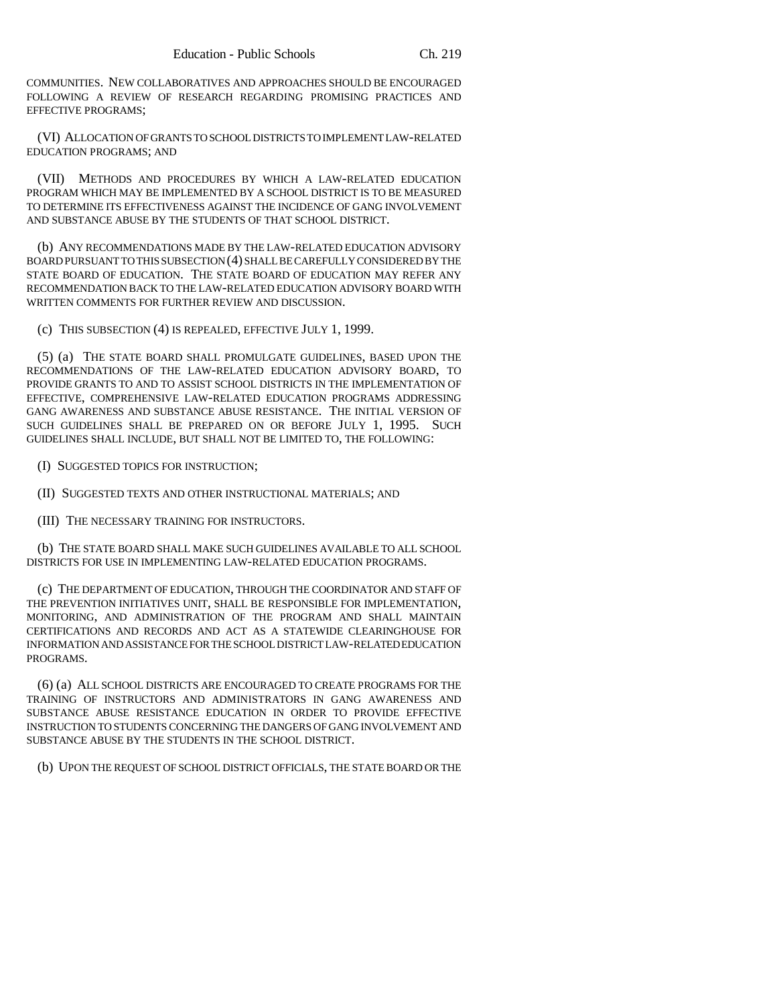COMMUNITIES. NEW COLLABORATIVES AND APPROACHES SHOULD BE ENCOURAGED FOLLOWING A REVIEW OF RESEARCH REGARDING PROMISING PRACTICES AND EFFECTIVE PROGRAMS;

(VI) ALLOCATION OF GRANTS TO SCHOOL DISTRICTS TO IMPLEMENT LAW-RELATED EDUCATION PROGRAMS; AND

(VII) METHODS AND PROCEDURES BY WHICH A LAW-RELATED EDUCATION PROGRAM WHICH MAY BE IMPLEMENTED BY A SCHOOL DISTRICT IS TO BE MEASURED TO DETERMINE ITS EFFECTIVENESS AGAINST THE INCIDENCE OF GANG INVOLVEMENT AND SUBSTANCE ABUSE BY THE STUDENTS OF THAT SCHOOL DISTRICT.

(b) ANY RECOMMENDATIONS MADE BY THE LAW-RELATED EDUCATION ADVISORY BOARD PURSUANT TO THIS SUBSECTION (4) SHALL BE CAREFULLY CONSIDERED BY THE STATE BOARD OF EDUCATION. THE STATE BOARD OF EDUCATION MAY REFER ANY RECOMMENDATION BACK TO THE LAW-RELATED EDUCATION ADVISORY BOARD WITH WRITTEN COMMENTS FOR FURTHER REVIEW AND DISCUSSION.

(c) THIS SUBSECTION (4) IS REPEALED, EFFECTIVE JULY 1, 1999.

(5) (a) THE STATE BOARD SHALL PROMULGATE GUIDELINES, BASED UPON THE RECOMMENDATIONS OF THE LAW-RELATED EDUCATION ADVISORY BOARD, TO PROVIDE GRANTS TO AND TO ASSIST SCHOOL DISTRICTS IN THE IMPLEMENTATION OF EFFECTIVE, COMPREHENSIVE LAW-RELATED EDUCATION PROGRAMS ADDRESSING GANG AWARENESS AND SUBSTANCE ABUSE RESISTANCE. THE INITIAL VERSION OF SUCH GUIDELINES SHALL BE PREPARED ON OR BEFORE JULY 1, 1995. SUCH GUIDELINES SHALL INCLUDE, BUT SHALL NOT BE LIMITED TO, THE FOLLOWING:

(I) SUGGESTED TOPICS FOR INSTRUCTION;

(II) SUGGESTED TEXTS AND OTHER INSTRUCTIONAL MATERIALS; AND

(III) THE NECESSARY TRAINING FOR INSTRUCTORS.

(b) THE STATE BOARD SHALL MAKE SUCH GUIDELINES AVAILABLE TO ALL SCHOOL DISTRICTS FOR USE IN IMPLEMENTING LAW-RELATED EDUCATION PROGRAMS.

(c) THE DEPARTMENT OF EDUCATION, THROUGH THE COORDINATOR AND STAFF OF THE PREVENTION INITIATIVES UNIT, SHALL BE RESPONSIBLE FOR IMPLEMENTATION, MONITORING, AND ADMINISTRATION OF THE PROGRAM AND SHALL MAINTAIN CERTIFICATIONS AND RECORDS AND ACT AS A STATEWIDE CLEARINGHOUSE FOR INFORMATION AND ASSISTANCE FOR THE SCHOOL DISTRICT LAW-RELATED EDUCATION PROGRAMS.

(6) (a) ALL SCHOOL DISTRICTS ARE ENCOURAGED TO CREATE PROGRAMS FOR THE TRAINING OF INSTRUCTORS AND ADMINISTRATORS IN GANG AWARENESS AND SUBSTANCE ABUSE RESISTANCE EDUCATION IN ORDER TO PROVIDE EFFECTIVE INSTRUCTION TO STUDENTS CONCERNING THE DANGERS OF GANG INVOLVEMENT AND SUBSTANCE ABUSE BY THE STUDENTS IN THE SCHOOL DISTRICT.

(b) UPON THE REQUEST OF SCHOOL DISTRICT OFFICIALS, THE STATE BOARD OR THE